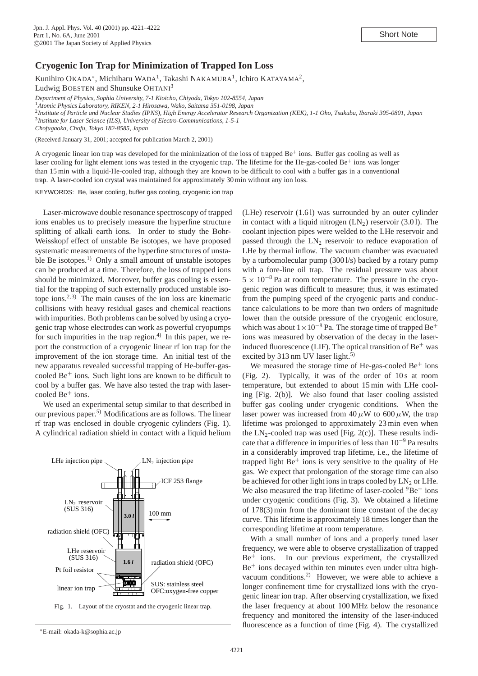## **Cryogenic Ion Trap for Minimization of Trapped Ion Loss**

Kunihiro OKADA<sup>∗</sup>, Michiharu WADA<sup>1</sup>, Takashi NAKAMURA<sup>1</sup>, Ichiro KATAYAMA<sup>2</sup>,

Ludwig BOESTEN and Shunsuke OHTANI<sup>3</sup>

*Department of Physics, Sophia University, 7-1 Kioicho, Chiyoda, Tokyo 102-8554, Japan*

<sup>1</sup>*Atomic Physics Laboratory, RIKEN, 2-1 Hirosawa, Wako, Saitama 351-0198, Japan*

<sup>2</sup>*Institute of Particle and Nuclear Studies (IPNS), High Energy Accelerator Research Organization (KEK), 1-1 Oho, Tsukuba, Ibaraki 305-0801, Japan*

<sup>3</sup>*Institute for Laser Science (ILS), University of Electro-Communications, 1-5-1*

*Chofugaoka, Chofu, Tokyo 182-8585, Japan*

(Received January 31, 2001; accepted for publication March 2, 2001)

A cryogenic linear ion trap was developed for the minimization of the loss of trapped  $Be<sup>+</sup>$  ions. Buffer gas cooling as well as laser cooling for light element ions was tested in the cryogenic trap. The lifetime for the He-gas-cooled Be<sup>+</sup> ions was longer than 15 min with a liquid-He-cooled trap, although they are known to be difficult to cool with a buffer gas in a conventional trap. A laser-cooled ion crystal was maintained for approximately 30 min without any ion loss.

KEYWORDS: Be, laser cooling, buffer gas cooling, cryogenic ion trap

Laser-microwave double resonance spectroscopy of trapped ions enables us to precisely measure the hyperfine structure splitting of alkali earth ions. In order to study the Bohr-Weisskopf effect of unstable Be isotopes, we have proposed systematic measurements of the hyperfine structures of unstable Be isotopes.<sup>1)</sup> Only a small amount of unstable isotopes can be produced at a time. Therefore, the loss of trapped ions should be minimized. Moreover, buffer gas cooling is essential for the trapping of such externally produced unstable isotope ions.<sup>2, 3)</sup> The main causes of the ion loss are kinematic collisions with heavy residual gases and chemical reactions with impurities. Both problems can be solved by using a cryogenic trap whose electrodes can work as powerful cryopumps for such impurities in the trap region. $4$ ) In this paper, we report the construction of a cryogenic linear rf ion trap for the improvement of the ion storage time. An initial test of the new apparatus revealed successful trapping of He-buffer-gascooled  $Be<sup>+</sup>$  ions. Such light ions are known to be difficult to cool by a buffer gas. We have also tested the trap with laser- $\text{cooled Be}^+$  ions.

We used an experimental setup similar to that described in our previous paper.5) Modifications are as follows. The linear rf trap was enclosed in double cryogenic cylinders (Fig. 1). A cylindrical radiation shield in contact with a liquid helium





∗E-mail: okada-k@sophia.ac.jp

(LHe) reservoir (1.6 l) was surrounded by an outer cylinder in contact with a liquid nitrogen  $(LN_2)$  reservoir (3.01). The coolant injection pipes were welded to the LHe reservoir and passed through the  $LN_2$  reservoir to reduce evaporation of LHe by thermal inflow. The vacuum chamber was evacuated by a turbomolecular pump (300 l/s) backed by a rotary pump with a fore-line oil trap. The residual pressure was about  $5 \times 10^{-8}$  Pa at room temperature. The pressure in the cryogenic region was difficult to measure; thus, it was estimated from the pumping speed of the cryogenic parts and conductance calculations to be more than two orders of magnitude lower than the outside pressure of the cryogenic enclosure, which was about  $1 \times 10^{-8}$  Pa. The storage time of trapped Be<sup>+</sup> ions was measured by observation of the decay in the laserinduced fluorescence (LIF). The optical transition of  $Be<sup>+</sup>$  was excited by  $313 \text{ nm}$  UV laser light.<sup>5)</sup>

We measured the storage time of He-gas-cooled  $Be<sup>+</sup>$  ions (Fig. 2). Typically, it was of the order of 10 s at room temperature, but extended to about 15 min with LHe cooling [Fig. 2(b)]. We also found that laser cooling assisted buffer gas cooling under cryogenic conditions. When the laser power was increased from  $40 \mu W$  to  $600 \mu W$ , the trap lifetime was prolonged to approximately 23 min even when the  $LN_2$ -cooled trap was used [Fig. 2(c)]. These results indicate that a difference in impurities of less than 10−<sup>9</sup> Pa results in a considerably improved trap lifetime, i.e., the lifetime of trapped light  $Be<sup>+</sup>$  ions is very sensitive to the quality of He gas. We expect that prolongation of the storage time can also be achieved for other light ions in traps cooled by  $LN_2$  or LHe. We also measured the trap lifetime of laser-cooled  ${}^{9}Be^+$  ions under cryogenic conditions (Fig. 3). We obtained a lifetime of 178(3) min from the dominant time constant of the decay curve. This lifetime is approximately 18 times longer than the corresponding lifetime at room temperature.

With a small number of ions and a properly tuned laser frequency, we were able to observe crystallization of trapped Be<sup>+</sup> ions. In our previous experiment, the crystallized  $Be<sup>+</sup>$  ions decayed within ten minutes even under ultra highvacuum conditions.2) However, we were able to achieve a longer confinement time for crystallized ions with the cryogenic linear ion trap. After observing crystallization, we fixed the laser frequency at about 100 MHz below the resonance frequency and monitored the intensity of the laser-induced fluorescence as a function of time (Fig. 4). The crystallized